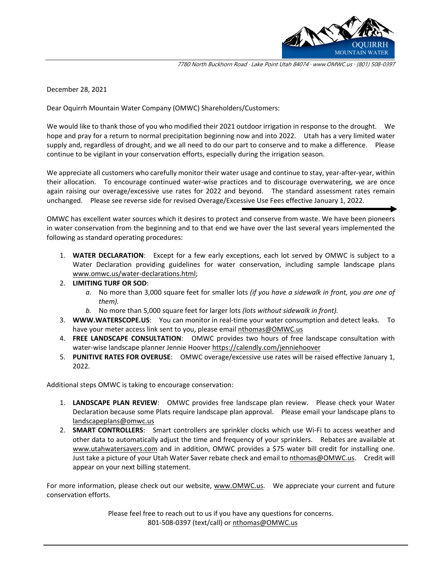

7780 North Buckhorn Road · Lake Point Utah 84074 · www.OMWC.us · (801) 508-0397

December 28, 2021

Dear Oquirrh Mountain Water Company (OMWC) Shareholders/Customers:

We would like to thank those of you who modified their 2021 outdoor irrigation in response to the drought. We hope and pray for a return to normal precipitation beginning now and into 2022. Utah has a very limited water supply and, regardless of drought, and we all need to do our part to conserve and to make a difference. Please continue to be vigilant in your conservation efforts, especially during the irrigation season.

We appreciate all customers who carefully monitor their water usage and continue to stay, year-after-year, within their allocation. To encourage continued water-wise practices and to discourage overwatering, we are once again raising our overage/excessive use rates for 2022 and beyond. The standard assessment rates remain unchanged. Please see reverse side for revised Overage/Excessive Use Fees effective January 1, 2022.

OMWC has excellent water sources which it desires to protect and conserve from waste. We have been pioneers in water conservation from the beginning and to that end we have over the last several years implemented the following as standard operating procedures:

- 1. **WATER DECLARATION**: Except for a few early exceptions, each lot served by OMWC is subject to a Water Declaration providing guidelines for water conservation, including sample landscape plans [www.omwc.us/water-declarations.html;](http://www.omwc.us/water-declarations.html)
- 2. **LIMITING TURF OR SOD**:
	- *a.* No more than 3,000 square feet for smaller lots *(if you have a sidewalk in front, you are one of them).*
	- *b.* No more than 5,000 square feet for larger lots *(lots without sidewalk in front).*
- 3. **WWW.WATERSCOPE.US**: You can monitor in real-time your water consumption and detect leaks. To have your meter access link sent to you, please email [nthomas@OMWC.us](mailto:nthomas@OMWC.us)
- 4. **FREE LANDSCAPE CONSULTATION**: OMWC provides two hours of free landscape consultation with water-wise landscape planner Jennie Hoover<https://calendly.com/jenniehoover>
- 5. **PUNITIVE RATES FOR OVERUSE**: OMWC overage/excessive use rates will be raised effective January 1, 2022.

Additional steps OMWC is taking to encourage conservation:

- 1. **LANDSCAPE PLAN REVIEW**: OMWC provides free landscape plan review. Please check your Water Declaration because some Plats require landscape plan approval. Please email your landscape plans to [landscapeplans@omwc.us](mailto:landscapeplans@omwc.us)
- 2. **SMART CONTROLLERS**: Smart controllers are sprinkler clocks which use Wi-Fi to access weather and other data to automatically adjust the time and frequency of your sprinklers. Rebates are available at [www.utahwatersavers.com](http://www.utahwatersavers.com/) and in addition, OMWC provides a \$75 water bill credit for installing one. Just take a picture of your Utah Water Saver rebate check and email t[o nthomas@OMWC.us.](mailto:nthomas@OMWC.us) Credit will appear on your next billing statement.

For more information, please check out our website, [www.OMWC.us.](http://www.omwc.us/) We appreciate your current and future conservation efforts.

> Please feel free to reach out to us if you have any questions for concerns. 801-508-0397 (text/call) o[r nthomas@OMWC.us](mailto:nthomas@OMWC.us)